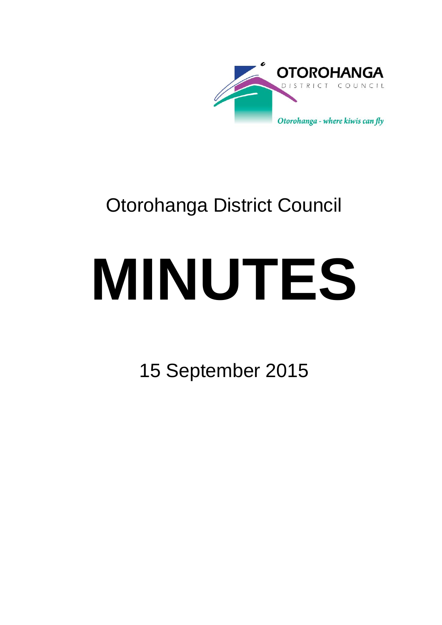

## Otorohanga District Council

# **MINUTES**

15 September 2015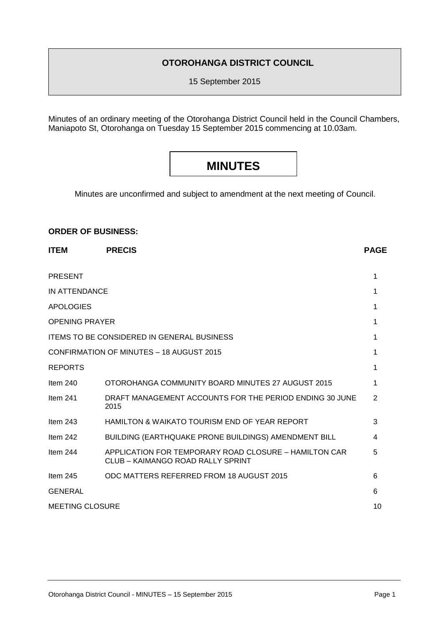#### **OTOROHANGA DISTRICT COUNCIL**

15 September 2015

Minutes of an ordinary meeting of the Otorohanga District Council held in the Council Chambers, Maniapoto St, Otorohanga on Tuesday 15 September 2015 commencing at 10.03am.

### **MINUTES**

Minutes are unconfirmed and subject to amendment at the next meeting of Council.

#### **ORDER OF BUSINESS:**

| <b>ITEM</b>            | <b>PRECIS</b>                                                                              | <b>PAGE</b> |
|------------------------|--------------------------------------------------------------------------------------------|-------------|
| <b>PRESENT</b>         |                                                                                            | 1           |
| <b>IN ATTENDANCE</b>   |                                                                                            | 1           |
| <b>APOLOGIES</b>       |                                                                                            |             |
| <b>OPENING PRAYER</b>  |                                                                                            |             |
|                        | <b>ITEMS TO BE CONSIDERED IN GENERAL BUSINESS</b>                                          | 1           |
|                        | <b>CONFIRMATION OF MINUTES - 18 AUGUST 2015</b>                                            |             |
| <b>REPORTS</b>         |                                                                                            |             |
| Item $240$             | OTOROHANGA COMMUNITY BOARD MINUTES 27 AUGUST 2015                                          |             |
| Item $241$             | DRAFT MANAGEMENT ACCOUNTS FOR THE PERIOD ENDING 30 JUNE<br>2015                            | 2           |
| Item $243$             | <b>HAMILTON &amp; WAIKATO TOURISM END OF YEAR REPORT</b>                                   | 3           |
| Item $242$             | BUILDING (EARTHQUAKE PRONE BUILDINGS) AMENDMENT BILL                                       | 4           |
| Item $244$             | APPLICATION FOR TEMPORARY ROAD CLOSURE - HAMILTON CAR<br>CLUB - KAIMANGO ROAD RALLY SPRINT |             |
| Item $245$             | ODC MATTERS REFERRED FROM 18 AUGUST 2015                                                   | 6           |
| <b>GENERAL</b>         |                                                                                            | 6           |
| <b>MEETING CLOSURE</b> |                                                                                            |             |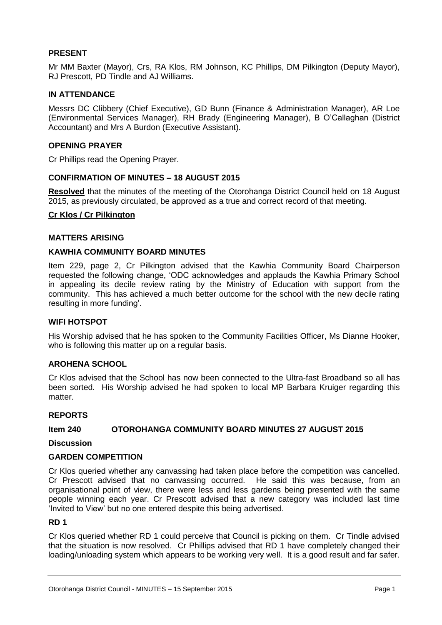#### **PRESENT**

Mr MM Baxter (Mayor), Crs, RA Klos, RM Johnson, KC Phillips, DM Pilkington (Deputy Mayor), RJ Prescott, PD Tindle and AJ Williams.

#### **IN ATTENDANCE**

Messrs DC Clibbery (Chief Executive), GD Bunn (Finance & Administration Manager), AR Loe (Environmental Services Manager), RH Brady (Engineering Manager), B O'Callaghan (District Accountant) and Mrs A Burdon (Executive Assistant).

#### **OPENING PRAYER**

Cr Phillips read the Opening Prayer.

#### **CONFIRMATION OF MINUTES – 18 AUGUST 2015**

**Resolved** that the minutes of the meeting of the Otorohanga District Council held on 18 August 2015, as previously circulated, be approved as a true and correct record of that meeting.

#### **Cr Klos / Cr Pilkington**

#### **MATTERS ARISING**

#### **KAWHIA COMMUNITY BOARD MINUTES**

Item 229, page 2, Cr Pilkington advised that the Kawhia Community Board Chairperson requested the following change, 'ODC acknowledges and applauds the Kawhia Primary School in appealing its decile review rating by the Ministry of Education with support from the community. This has achieved a much better outcome for the school with the new decile rating resulting in more funding'.

#### **WIFI HOTSPOT**

His Worship advised that he has spoken to the Community Facilities Officer, Ms Dianne Hooker, who is following this matter up on a regular basis.

#### **AROHENA SCHOOL**

Cr Klos advised that the School has now been connected to the Ultra-fast Broadband so all has been sorted. His Worship advised he had spoken to local MP Barbara Kruiger regarding this matter

#### **REPORTS**

#### **Item 240 OTOROHANGA COMMUNITY BOARD MINUTES 27 AUGUST 2015**

#### **Discussion**

#### **GARDEN COMPETITION**

Cr Klos queried whether any canvassing had taken place before the competition was cancelled. Cr Prescott advised that no canvassing occurred. He said this was because, from an organisational point of view, there were less and less gardens being presented with the same people winning each year. Cr Prescott advised that a new category was included last time 'Invited to View' but no one entered despite this being advertised.

#### **RD 1**

Cr Klos queried whether RD 1 could perceive that Council is picking on them. Cr Tindle advised that the situation is now resolved. Cr Phillips advised that RD 1 have completely changed their loading/unloading system which appears to be working very well. It is a good result and far safer.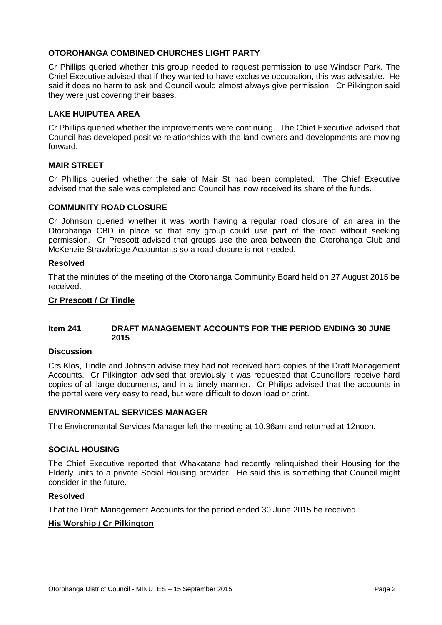#### **OTOROHANGA COMBINED CHURCHES LIGHT PARTY**

Cr Phillips queried whether this group needed to request permission to use Windsor Park. The Chief Executive advised that if they wanted to have exclusive occupation, this was advisable. He said it does no harm to ask and Council would almost always give permission. Cr Pilkington said they were just covering their bases.

#### **LAKE HUIPUTEA AREA**

Cr Phillips queried whether the improvements were continuing. The Chief Executive advised that Council has developed positive relationships with the land owners and developments are moving forward.

#### **MAIR STREET**

Cr Phillips queried whether the sale of Mair St had been completed. The Chief Executive advised that the sale was completed and Council has now received its share of the funds.

#### **COMMUNITY ROAD CLOSURE**

Cr Johnson queried whether it was worth having a regular road closure of an area in the Otorohanga CBD in place so that any group could use part of the road without seeking permission. Cr Prescott advised that groups use the area between the Otorohanga Club and McKenzie Strawbridge Accountants so a road closure is not needed.

#### **Resolved**

That the minutes of the meeting of the Otorohanga Community Board held on 27 August 2015 be received.

#### **Cr Prescott / Cr Tindle**

#### **Item 241 DRAFT MANAGEMENT ACCOUNTS FOR THE PERIOD ENDING 30 JUNE 2015**

#### **Discussion**

Crs Klos, Tindle and Johnson advise they had not received hard copies of the Draft Management Accounts. Cr Pilkington advised that previously it was requested that Councillors receive hard copies of all large documents, and in a timely manner. Cr Philips advised that the accounts in the portal were very easy to read, but were difficult to down load or print.

#### **ENVIRONMENTAL SERVICES MANAGER**

The Environmental Services Manager left the meeting at 10.36am and returned at 12noon.

#### **SOCIAL HOUSING**

The Chief Executive reported that Whakatane had recently relinquished their Housing for the Elderly units to a private Social Housing provider. He said this is something that Council might consider in the future.

#### **Resolved**

That the Draft Management Accounts for the period ended 30 June 2015 be received.

#### **His Worship / Cr Pilkington**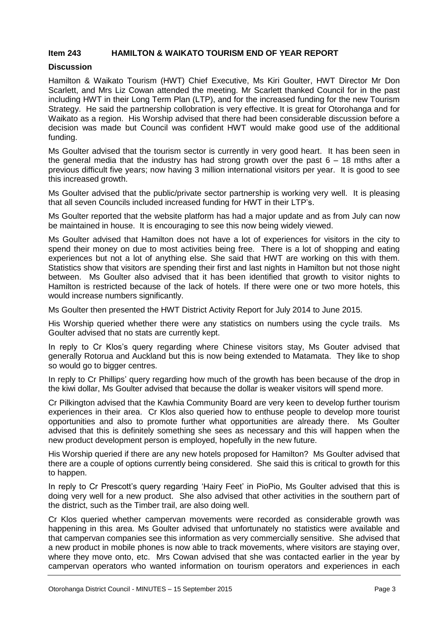#### **Item 243 HAMILTON & WAIKATO TOURISM END OF YEAR REPORT**

#### **Discussion**

Hamilton & Waikato Tourism (HWT) Chief Executive, Ms Kiri Goulter, HWT Director Mr Don Scarlett, and Mrs Liz Cowan attended the meeting. Mr Scarlett thanked Council for in the past including HWT in their Long Term Plan (LTP), and for the increased funding for the new Tourism Strategy. He said the partnership collobration is very effective. It is great for Otorohanga and for Waikato as a region. His Worship advised that there had been considerable discussion before a decision was made but Council was confident HWT would make good use of the additional funding.

Ms Goulter advised that the tourism sector is currently in very good heart. It has been seen in the general media that the industry has had strong growth over the past  $6 - 18$  mths after a previous difficult five years; now having 3 million international visitors per year. It is good to see this increased growth.

Ms Goulter advised that the public/private sector partnership is working very well. It is pleasing that all seven Councils included increased funding for HWT in their LTP's.

Ms Goulter reported that the website platform has had a major update and as from July can now be maintained in house. It is encouraging to see this now being widely viewed.

Ms Goulter advised that Hamilton does not have a lot of experiences for visitors in the city to spend their money on due to most activities being free. There is a lot of shopping and eating experiences but not a lot of anything else. She said that HWT are working on this with them. Statistics show that visitors are spending their first and last nights in Hamilton but not those night between. Ms Goulter also advised that it has been identified that growth to visitor nights to Hamilton is restricted because of the lack of hotels. If there were one or two more hotels, this would increase numbers significantly.

Ms Goulter then presented the HWT District Activity Report for July 2014 to June 2015.

His Worship queried whether there were any statistics on numbers using the cycle trails. Ms Goulter advised that no stats are currently kept.

In reply to Cr Klos's query regarding where Chinese visitors stay, Ms Gouter advised that generally Rotorua and Auckland but this is now being extended to Matamata. They like to shop so would go to bigger centres.

In reply to Cr Phillips' query regarding how much of the growth has been because of the drop in the kiwi dollar, Ms Goulter advised that because the dollar is weaker visitors will spend more.

Cr Pilkington advised that the Kawhia Community Board are very keen to develop further tourism experiences in their area. Cr Klos also queried how to enthuse people to develop more tourist opportunities and also to promote further what opportunities are already there. Ms Goulter advised that this is definitely something she sees as necessary and this will happen when the new product development person is employed, hopefully in the new future.

His Worship queried if there are any new hotels proposed for Hamilton? Ms Goulter advised that there are a couple of options currently being considered. She said this is critical to growth for this to happen.

In reply to Cr Prescott's query regarding 'Hairy Feet' in PioPio, Ms Goulter advised that this is doing very well for a new product. She also advised that other activities in the southern part of the district, such as the Timber trail, are also doing well.

Cr Klos queried whether campervan movements were recorded as considerable growth was happening in this area. Ms Goulter advised that unfortunately no statistics were available and that campervan companies see this information as very commercially sensitive. She advised that a new product in mobile phones is now able to track movements, where visitors are staying over, where they move onto, etc. Mrs Cowan advised that she was contacted earlier in the year by campervan operators who wanted information on tourism operators and experiences in each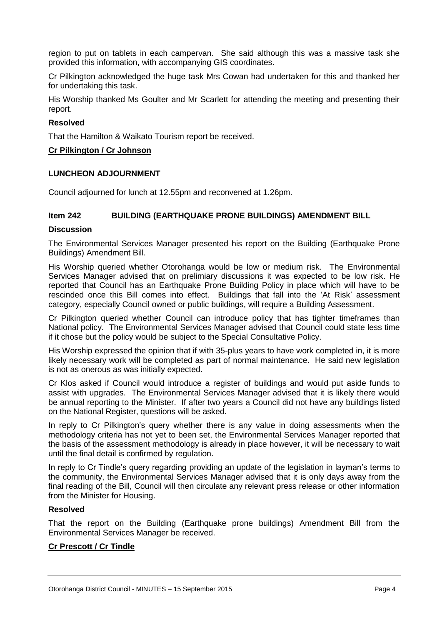region to put on tablets in each campervan. She said although this was a massive task she provided this information, with accompanying GIS coordinates.

Cr Pilkington acknowledged the huge task Mrs Cowan had undertaken for this and thanked her for undertaking this task.

His Worship thanked Ms Goulter and Mr Scarlett for attending the meeting and presenting their report.

#### **Resolved**

That the Hamilton & Waikato Tourism report be received.

#### **Cr Pilkington / Cr Johnson**

#### **LUNCHEON ADJOURNMENT**

Council adjourned for lunch at 12.55pm and reconvened at 1.26pm.

#### **Item 242 BUILDING (EARTHQUAKE PRONE BUILDINGS) AMENDMENT BILL**

#### **Discussion**

The Environmental Services Manager presented his report on the Building (Earthquake Prone Buildings) Amendment Bill.

His Worship queried whether Otorohanga would be low or medium risk. The Environmental Services Manager advised that on prelimiary discussions it was expected to be low risk. He reported that Council has an Earthquake Prone Building Policy in place which will have to be rescinded once this Bill comes into effect. Buildings that fall into the 'At Risk' assessment category, especially Council owned or public buildings, will require a Building Assessment.

Cr Pilkington queried whether Council can introduce policy that has tighter timeframes than National policy. The Environmental Services Manager advised that Council could state less time if it chose but the policy would be subject to the Special Consultative Policy.

His Worship expressed the opinion that if with 35-plus years to have work completed in, it is more likely necessary work will be completed as part of normal maintenance. He said new legislation is not as onerous as was initially expected.

Cr Klos asked if Council would introduce a register of buildings and would put aside funds to assist with upgrades. The Environmental Services Manager advised that it is likely there would be annual reporting to the Minister. If after two years a Council did not have any buildings listed on the National Register, questions will be asked.

In reply to Cr Pilkington's query whether there is any value in doing assessments when the methodology criteria has not yet to been set, the Environmental Services Manager reported that the basis of the assessment methodology is already in place however, it will be necessary to wait until the final detail is confirmed by regulation.

In reply to Cr Tindle's query regarding providing an update of the legislation in layman's terms to the community, the Environmental Services Manager advised that it is only days away from the final reading of the Bill, Council will then circulate any relevant press release or other information from the Minister for Housing.

#### **Resolved**

That the report on the Building (Earthquake prone buildings) Amendment Bill from the Environmental Services Manager be received.

#### **Cr Prescott / Cr Tindle**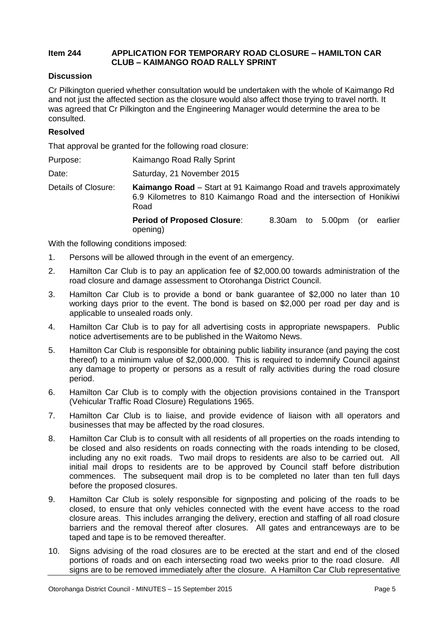#### **Item 244 APPLICATION FOR TEMPORARY ROAD CLOSURE – HAMILTON CAR CLUB – KAIMANGO ROAD RALLY SPRINT**

#### **Discussion**

Cr Pilkington queried whether consultation would be undertaken with the whole of Kaimango Rd and not just the affected section as the closure would also affect those trying to travel north. It was agreed that Cr Pilkington and the Engineering Manager would determine the area to be consulted.

#### **Resolved**

That approval be granted for the following road closure:

| Purpose: | Kaimango Road Rally Sprint |
|----------|----------------------------|
|          |                            |

Date: Saturday, 21 November 2015

Details of Closure: **Kaimango Road** – Start at 91 Kaimango Road and travels approximately 6.9 Kilometres to 810 Kaimango Road and the intersection of Honikiwi Road

> **Period of Proposed Closure**: 8.30am to 5.00pm (or earlier opening)

With the following conditions imposed:

- 1. Persons will be allowed through in the event of an emergency.
- 2. Hamilton Car Club is to pay an application fee of \$2,000.00 towards administration of the road closure and damage assessment to Otorohanga District Council.
- 3. Hamilton Car Club is to provide a bond or bank guarantee of \$2,000 no later than 10 working days prior to the event. The bond is based on \$2,000 per road per day and is applicable to unsealed roads only.
- 4. Hamilton Car Club is to pay for all advertising costs in appropriate newspapers. Public notice advertisements are to be published in the Waitomo News.
- 5. Hamilton Car Club is responsible for obtaining public liability insurance (and paying the cost thereof) to a minimum value of \$2,000,000. This is required to indemnify Council against any damage to property or persons as a result of rally activities during the road closure period.
- 6. Hamilton Car Club is to comply with the objection provisions contained in the Transport (Vehicular Traffic Road Closure) Regulations 1965.
- 7. Hamilton Car Club is to liaise, and provide evidence of liaison with all operators and businesses that may be affected by the road closures.
- 8. Hamilton Car Club is to consult with all residents of all properties on the roads intending to be closed and also residents on roads connecting with the roads intending to be closed, including any no exit roads. Two mail drops to residents are also to be carried out. All initial mail drops to residents are to be approved by Council staff before distribution commences. The subsequent mail drop is to be completed no later than ten full days before the proposed closures.
- 9. Hamilton Car Club is solely responsible for signposting and policing of the roads to be closed, to ensure that only vehicles connected with the event have access to the road closure areas. This includes arranging the delivery, erection and staffing of all road closure barriers and the removal thereof after closures. All gates and entranceways are to be taped and tape is to be removed thereafter.
- 10. Signs advising of the road closures are to be erected at the start and end of the closed portions of roads and on each intersecting road two weeks prior to the road closure. All signs are to be removed immediately after the closure. A Hamilton Car Club representative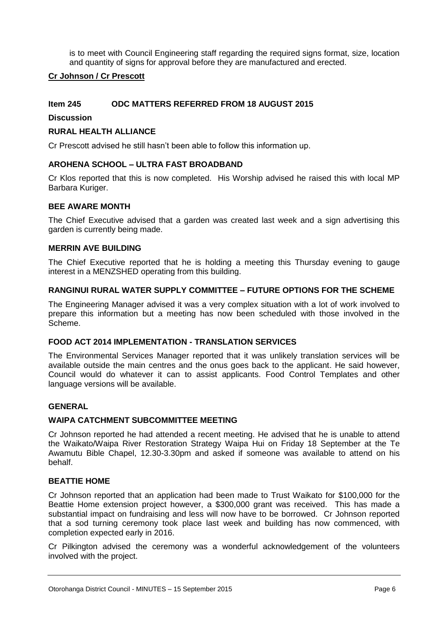is to meet with Council Engineering staff regarding the required signs format, size, location and quantity of signs for approval before they are manufactured and erected.

#### **Cr Johnson / Cr Prescott**

#### **Item 245 ODC MATTERS REFERRED FROM 18 AUGUST 2015**

#### **Discussion**

#### **RURAL HEALTH ALLIANCE**

Cr Prescott advised he still hasn't been able to follow this information up.

#### **AROHENA SCHOOL – ULTRA FAST BROADBAND**

Cr Klos reported that this is now completed. His Worship advised he raised this with local MP Barbara Kuriger.

#### **BEE AWARE MONTH**

The Chief Executive advised that a garden was created last week and a sign advertising this garden is currently being made.

#### **MERRIN AVE BUILDING**

The Chief Executive reported that he is holding a meeting this Thursday evening to gauge interest in a MENZSHED operating from this building.

#### **RANGINUI RURAL WATER SUPPLY COMMITTEE – FUTURE OPTIONS FOR THE SCHEME**

The Engineering Manager advised it was a very complex situation with a lot of work involved to prepare this information but a meeting has now been scheduled with those involved in the Scheme.

#### **FOOD ACT 2014 IMPLEMENTATION - TRANSLATION SERVICES**

The Environmental Services Manager reported that it was unlikely translation services will be available outside the main centres and the onus goes back to the applicant. He said however, Council would do whatever it can to assist applicants. Food Control Templates and other language versions will be available.

#### **GENERAL**

#### **WAIPA CATCHMENT SUBCOMMITTEE MEETING**

Cr Johnson reported he had attended a recent meeting. He advised that he is unable to attend the Waikato/Waipa River Restoration Strategy Waipa Hui on Friday 18 September at the Te Awamutu Bible Chapel, 12.30-3.30pm and asked if someone was available to attend on his behalf.

#### **BEATTIE HOME**

Cr Johnson reported that an application had been made to Trust Waikato for \$100,000 for the Beattie Home extension project however, a \$300,000 grant was received. This has made a substantial impact on fundraising and less will now have to be borrowed. Cr Johnson reported that a sod turning ceremony took place last week and building has now commenced, with completion expected early in 2016.

Cr Pilkington advised the ceremony was a wonderful acknowledgement of the volunteers involved with the project.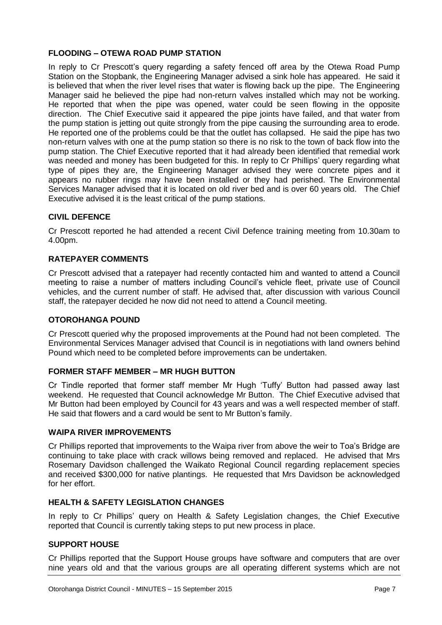#### **FLOODING – OTEWA ROAD PUMP STATION**

In reply to Cr Prescott's query regarding a safety fenced off area by the Otewa Road Pump Station on the Stopbank, the Engineering Manager advised a sink hole has appeared. He said it is believed that when the river level rises that water is flowing back up the pipe. The Engineering Manager said he believed the pipe had non-return valves installed which may not be working. He reported that when the pipe was opened, water could be seen flowing in the opposite direction. The Chief Executive said it appeared the pipe joints have failed, and that water from the pump station is jetting out quite strongly from the pipe causing the surrounding area to erode. He reported one of the problems could be that the outlet has collapsed. He said the pipe has two non-return valves with one at the pump station so there is no risk to the town of back flow into the pump station. The Chief Executive reported that it had already been identified that remedial work was needed and money has been budgeted for this. In reply to Cr Phillips' query regarding what type of pipes they are, the Engineering Manager advised they were concrete pipes and it appears no rubber rings may have been installed or they had perished. The Environmental Services Manager advised that it is located on old river bed and is over 60 years old. The Chief Executive advised it is the least critical of the pump stations.

#### **CIVIL DEFENCE**

Cr Prescott reported he had attended a recent Civil Defence training meeting from 10.30am to 4.00pm.

#### **RATEPAYER COMMENTS**

Cr Prescott advised that a ratepayer had recently contacted him and wanted to attend a Council meeting to raise a number of matters including Council's vehicle fleet, private use of Council vehicles, and the current number of staff. He advised that, after discussion with various Council staff, the ratepayer decided he now did not need to attend a Council meeting.

#### **OTOROHANGA POUND**

Cr Prescott queried why the proposed improvements at the Pound had not been completed. The Environmental Services Manager advised that Council is in negotiations with land owners behind Pound which need to be completed before improvements can be undertaken.

#### **FORMER STAFF MEMBER – MR HUGH BUTTON**

Cr Tindle reported that former staff member Mr Hugh 'Tuffy' Button had passed away last weekend. He requested that Council acknowledge Mr Button. The Chief Executive advised that Mr Button had been employed by Council for 43 years and was a well respected member of staff. He said that flowers and a card would be sent to Mr Button's family.

#### **WAIPA RIVER IMPROVEMENTS**

Cr Phillips reported that improvements to the Waipa river from above the weir to Toa's Bridge are continuing to take place with crack willows being removed and replaced. He advised that Mrs Rosemary Davidson challenged the Waikato Regional Council regarding replacement species and received \$300,000 for native plantings. He requested that Mrs Davidson be acknowledged for her effort.

#### **HEALTH & SAFETY LEGISLATION CHANGES**

In reply to Cr Phillips' query on Health & Safety Legislation changes, the Chief Executive reported that Council is currently taking steps to put new process in place.

#### **SUPPORT HOUSE**

Cr Phillips reported that the Support House groups have software and computers that are over nine years old and that the various groups are all operating different systems which are not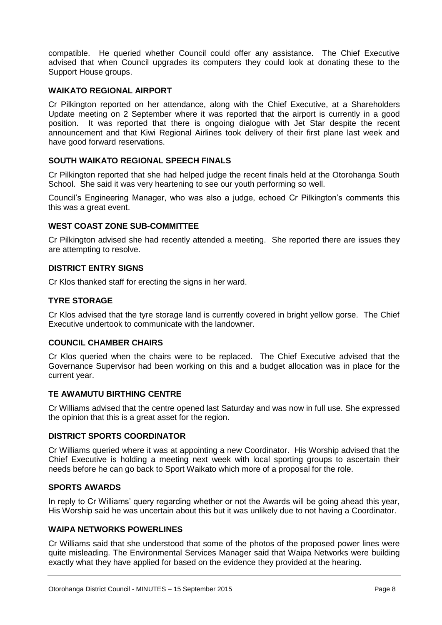compatible. He queried whether Council could offer any assistance. The Chief Executive advised that when Council upgrades its computers they could look at donating these to the Support House groups.

#### **WAIKATO REGIONAL AIRPORT**

Cr Pilkington reported on her attendance, along with the Chief Executive, at a Shareholders Update meeting on 2 September where it was reported that the airport is currently in a good position. It was reported that there is ongoing dialogue with Jet Star despite the recent announcement and that Kiwi Regional Airlines took delivery of their first plane last week and have good forward reservations.

#### **SOUTH WAIKATO REGIONAL SPEECH FINALS**

Cr Pilkington reported that she had helped judge the recent finals held at the Otorohanga South School. She said it was very heartening to see our youth performing so well.

Council's Engineering Manager, who was also a judge, echoed Cr Pilkington's comments this this was a great event.

#### **WEST COAST ZONE SUB-COMMITTEE**

Cr Pilkington advised she had recently attended a meeting. She reported there are issues they are attempting to resolve.

#### **DISTRICT ENTRY SIGNS**

Cr Klos thanked staff for erecting the signs in her ward.

#### **TYRE STORAGE**

Cr Klos advised that the tyre storage land is currently covered in bright yellow gorse. The Chief Executive undertook to communicate with the landowner.

#### **COUNCIL CHAMBER CHAIRS**

Cr Klos queried when the chairs were to be replaced. The Chief Executive advised that the Governance Supervisor had been working on this and a budget allocation was in place for the current year.

#### **TE AWAMUTU BIRTHING CENTRE**

Cr Williams advised that the centre opened last Saturday and was now in full use. She expressed the opinion that this is a great asset for the region.

#### **DISTRICT SPORTS COORDINATOR**

Cr Williams queried where it was at appointing a new Coordinator. His Worship advised that the Chief Executive is holding a meeting next week with local sporting groups to ascertain their needs before he can go back to Sport Waikato which more of a proposal for the role.

#### **SPORTS AWARDS**

In reply to Cr Williams' query regarding whether or not the Awards will be going ahead this year, His Worship said he was uncertain about this but it was unlikely due to not having a Coordinator.

#### **WAIPA NETWORKS POWERLINES**

Cr Williams said that she understood that some of the photos of the proposed power lines were quite misleading. The Environmental Services Manager said that Waipa Networks were building exactly what they have applied for based on the evidence they provided at the hearing.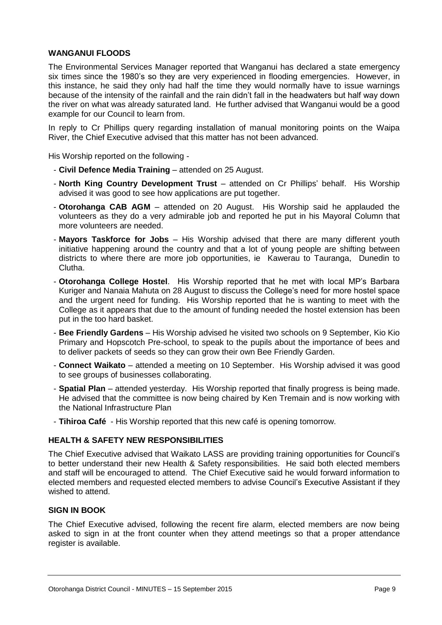#### **WANGANUI FLOODS**

The Environmental Services Manager reported that Wanganui has declared a state emergency six times since the 1980's so they are very experienced in flooding emergencies. However, in this instance, he said they only had half the time they would normally have to issue warnings because of the intensity of the rainfall and the rain didn't fall in the headwaters but half way down the river on what was already saturated land. He further advised that Wanganui would be a good example for our Council to learn from.

In reply to Cr Phillips query regarding installation of manual monitoring points on the Waipa River, the Chief Executive advised that this matter has not been advanced.

His Worship reported on the following -

- **Civil Defence Media Training** attended on 25 August.
- **North King Country Development Trust** attended on Cr Phillips' behalf. His Worship advised it was good to see how applications are put together.
- **Otorohanga CAB AGM** attended on 20 August. His Worship said he applauded the volunteers as they do a very admirable job and reported he put in his Mayoral Column that more volunteers are needed.
- **Mayors Taskforce for Jobs** His Worship advised that there are many different youth initiative happening around the country and that a lot of young people are shifting between districts to where there are more job opportunities, ie Kawerau to Tauranga, Dunedin to Clutha.
- **Otorohanga College Hostel**. His Worship reported that he met with local MP's Barbara Kuriger and Nanaia Mahuta on 28 August to discuss the College's need for more hostel space and the urgent need for funding. His Worship reported that he is wanting to meet with the College as it appears that due to the amount of funding needed the hostel extension has been put in the too hard basket.
- **Bee Friendly Gardens** His Worship advised he visited two schools on 9 September, Kio Kio Primary and Hopscotch Pre-school, to speak to the pupils about the importance of bees and to deliver packets of seeds so they can grow their own Bee Friendly Garden.
- **Connect Waikato** attended a meeting on 10 September. His Worship advised it was good to see groups of businesses collaborating.
- **Spatial Plan** attended yesterday. His Worship reported that finally progress is being made. He advised that the committee is now being chaired by Ken Tremain and is now working with the National Infrastructure Plan
- **Tihiroa Café** His Worship reported that this new café is opening tomorrow.

#### **HEALTH & SAFETY NEW RESPONSIBILITIES**

The Chief Executive advised that Waikato LASS are providing training opportunities for Council's to better understand their new Health & Safety responsibilities. He said both elected members and staff will be encouraged to attend. The Chief Executive said he would forward information to elected members and requested elected members to advise Council's Executive Assistant if they wished to attend.

#### **SIGN IN BOOK**

The Chief Executive advised, following the recent fire alarm, elected members are now being asked to sign in at the front counter when they attend meetings so that a proper attendance register is available.